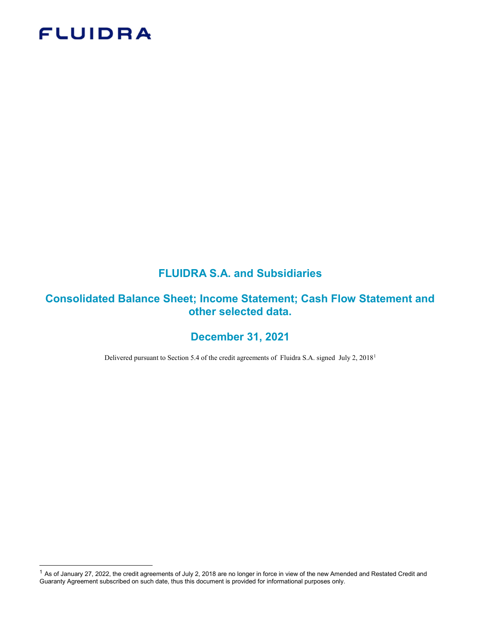# **FLUIDRA**

-

# FLUIDRA S.A. and Subsidiaries

# Consolidated Balance Sheet; Income Statement; Cash Flow Statement and other selected data.

# December 31, 2021

Delivered pursuant to Section 5.4 of the credit agreements of Fluidra S.A. signed July 2, 2018<sup>1</sup>

<sup>&</sup>lt;sup>1</sup> As of January 27, 2022, the credit agreements of July 2, 2018 are no longer in force in view of the new Amended and Restated Credit and Guaranty Agreement subscribed on such date, thus this document is provided for informational purposes only.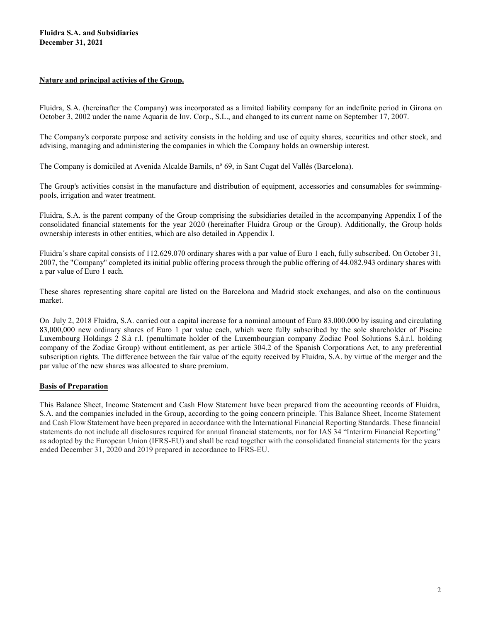#### Nature and principal activies of the Group.

Fluidra, S.A. (hereinafter the Company) was incorporated as a limited liability company for an indefinite period in Girona on October 3, 2002 under the name Aquaria de Inv. Corp., S.L., and changed to its current name on September 17, 2007.

The Company's corporate purpose and activity consists in the holding and use of equity shares, securities and other stock, and advising, managing and administering the companies in which the Company holds an ownership interest.

The Company is domiciled at Avenida Alcalde Barnils, nº 69, in Sant Cugat del Vallés (Barcelona).

The Group's activities consist in the manufacture and distribution of equipment, accessories and consumables for swimmingpools, irrigation and water treatment.

Fluidra, S.A. is the parent company of the Group comprising the subsidiaries detailed in the accompanying Appendix I of the consolidated financial statements for the year 2020 (hereinafter Fluidra Group or the Group). Additionally, the Group holds ownership interests in other entities, which are also detailed in Appendix I.

Fluidra´s share capital consists of 112.629.070 ordinary shares with a par value of Euro 1 each, fully subscribed. On October 31, 2007, the "Company" completed its initial public offering process through the public offering of 44.082.943 ordinary shares with a par value of Euro 1 each.

These shares representing share capital are listed on the Barcelona and Madrid stock exchanges, and also on the continuous market.

On July 2, 2018 Fluidra, S.A. carried out a capital increase for a nominal amount of Euro 83.000.000 by issuing and circulating 83,000,000 new ordinary shares of Euro 1 par value each, which were fully subscribed by the sole shareholder of Piscine Luxembourg Holdings 2 S.à r.l. (penultimate holder of the Luxembourgian company Zodiac Pool Solutions S.à.r.l. holding company of the Zodiac Group) without entitlement, as per article 304.2 of the Spanish Corporations Act, to any preferential subscription rights. The difference between the fair value of the equity received by Fluidra, S.A. by virtue of the merger and the par value of the new shares was allocated to share premium.

#### Basis of Preparation

This Balance Sheet, Income Statement and Cash Flow Statement have been prepared from the accounting records of Fluidra, S.A. and the companies included in the Group, according to the going concern principle. This Balance Sheet, Income Statement and Cash Flow Statement have been prepared in accordance with the International Financial Reporting Standards. These financial statements do not include all disclosures required for annual financial statements, nor for IAS 34 "Interirm Financial Reporting" as adopted by the European Union (IFRS-EU) and shall be read together with the consolidated financial statements for the years ended December 31, 2020 and 2019 prepared in accordance to IFRS-EU.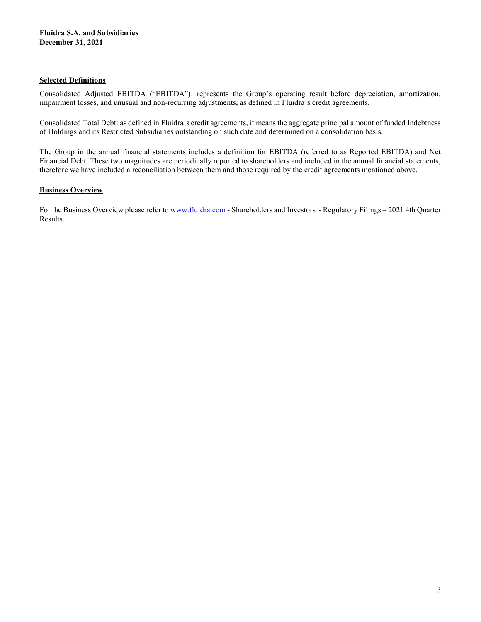#### Selected Definitions

Consolidated Adjusted EBITDA ("EBITDA"): represents the Group's operating result before depreciation, amortization, impairment losses, and unusual and non-recurring adjustments, as defined in Fluidra's credit agreements.

Consolidated Total Debt: as defined in Fluidra´s credit agreements, it means the aggregate principal amount of funded Indebtness of Holdings and its Restricted Subsidiaries outstanding on such date and determined on a consolidation basis.

The Group in the annual financial statements includes a definition for EBITDA (referred to as Reported EBITDA) and Net Financial Debt. These two magnitudes are periodically reported to shareholders and included in the annual financial statements, therefore we have included a reconciliation between them and those required by the credit agreements mentioned above.

### **Business Overview**

For the Business Overview please refer to www.fluidra.com - Shareholders and Investors - Regulatory Filings – 2021 4th Quarter Results.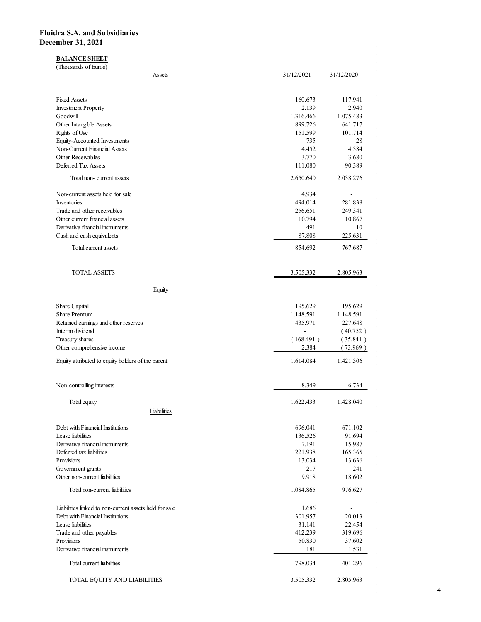### BALANCE SHEET

| idra S.A. and Subsidiaries                                                                 |                      |                                    |
|--------------------------------------------------------------------------------------------|----------------------|------------------------------------|
|                                                                                            |                      |                                    |
|                                                                                            |                      |                                    |
| ember 31, 2021                                                                             |                      |                                    |
| <b>BALANCE SHEET</b>                                                                       |                      |                                    |
| (Thousands of Euros)                                                                       |                      |                                    |
| <b>Assets</b>                                                                              | 31/12/2021           | 31/12/2020                         |
| <b>Fixed Assets</b>                                                                        | 160.673              | 117.941                            |
| <b>Investment Property</b>                                                                 | 2.139                | 2.940                              |
| Goodwill<br>Other Intangible Assets                                                        | 1.316.466<br>899.726 | 1.075.483<br>641.717               |
| Rights of Use<br>Equity-Accounted Investments                                              | 151.599<br>735       | 101.714<br>$28\,$                  |
| Non-Current Financial Assets<br>Other Receivables                                          | 4.452<br>3.770       | 4.384<br>3.680                     |
| Deferred Tax Assets                                                                        | 111.080              | 90.389                             |
| Total non-current assets                                                                   | 2.650.640            | 2.038.276                          |
| Non-current assets held for sale                                                           | 4.934                | $\overline{\phantom{a}}$           |
| Inventories<br>Trade and other receivables                                                 | 494.014<br>256.651   | 281.838<br>249.341                 |
| Other current financial assets<br>Derivative financial instruments                         | 10.794<br>491        | 10.867<br>$10\,$                   |
| Cash and cash equivalents                                                                  | 87.808               | 225.631                            |
| Total current assets                                                                       | 854.692              | 767.687                            |
| TOTAL ASSETS                                                                               | 3.505.332            | 2.805.963                          |
| Equity                                                                                     |                      |                                    |
| Share Capital                                                                              | 195.629              | 195.629                            |
| Share Premium<br>Retained earnings and other reserves                                      | 1.148.591<br>435.971 | 1.148.591<br>227.648               |
| Interim dividend                                                                           | $\blacksquare$       | (40.752)                           |
| Treasury shares<br>Other comprehensive income                                              | (168.491)<br>2.384   | (35.841)<br>(73.969)               |
| Equity attributed to equity holders of the parent                                          | 1.614.084            | 1.421.306                          |
| Non-controlling interests                                                                  | 8.349                | 6.734                              |
|                                                                                            |                      |                                    |
| Total equity<br>Liabilities                                                                | 1.622.433            | 1.428.040                          |
| Debt with Financial Institutions                                                           | 696.041              | 671.102                            |
| Lease liabilities<br>Derivative financial instruments                                      | 136.526<br>7.191     | 91.694<br>15.987                   |
| Deferred tax liabilities                                                                   | 221.938              | 165.365                            |
| Provisions<br>Government grants                                                            | 13.034<br>217        | 13.636<br>241                      |
| Other non-current liabilities                                                              | 9.918                | 18.602                             |
| Total non-current liabilities                                                              | 1.084.865            | 976.627                            |
| Liabilities linked to non-current assets held for sale<br>Debt with Financial Institutions | 1.686<br>301.957     | $\overline{\phantom{a}}$<br>20.013 |
| Lease liabilities                                                                          | 31.141               | 22.454                             |
| Trade and other payables<br>Provisions                                                     | 412.239<br>50.830    | 319.696<br>37.602                  |
| Derivative financial instruments                                                           | 181                  | 1.531                              |
| Total current liabilities                                                                  | 798.034              | 401.296                            |
| TOTAL EQUITY AND LIABILITIES                                                               | 3.505.332            | 2.805.963                          |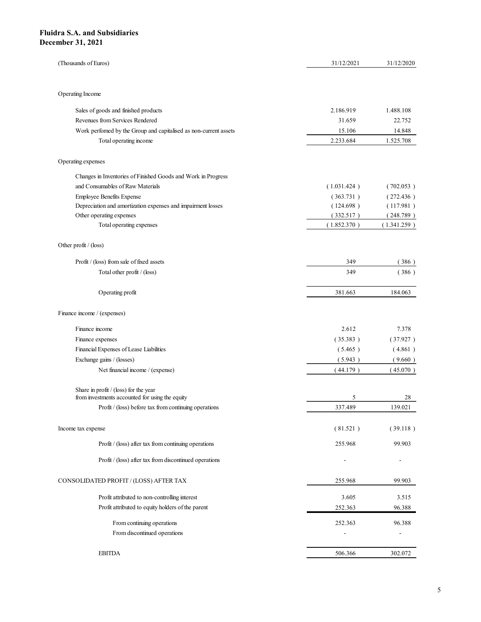| dra S.A. and Subsidiaries                                                                          |                          |                          |
|----------------------------------------------------------------------------------------------------|--------------------------|--------------------------|
|                                                                                                    |                          |                          |
|                                                                                                    |                          |                          |
|                                                                                                    |                          |                          |
|                                                                                                    |                          |                          |
|                                                                                                    |                          |                          |
|                                                                                                    |                          |                          |
|                                                                                                    |                          |                          |
|                                                                                                    |                          |                          |
|                                                                                                    |                          |                          |
| ember 31, 2021                                                                                     |                          |                          |
|                                                                                                    |                          |                          |
| (Thousands of Euros)                                                                               | 31/12/2021               | 31/12/2020               |
|                                                                                                    |                          |                          |
|                                                                                                    |                          |                          |
| Operating Income                                                                                   |                          |                          |
| Sales of goods and finished products                                                               | 2.186.919                | 1.488.108                |
| Revenues from Services Rendered                                                                    | 31.659                   | 22.752                   |
| Work perfomed by the Group and capitalised as non-current assets<br>Total operating income         | 15.106<br>2.233.684      | 14.848<br>1.525.708      |
|                                                                                                    |                          |                          |
| Operating expenses                                                                                 |                          |                          |
| Changes in Inventories of Finished Goods and Work in Progress                                      |                          |                          |
| and Consumables of Raw Materials                                                                   | (1.031.424)              | (702.053)                |
| Employee Benefits Expense                                                                          | (363.731)                | (272.436)                |
| Depreciation and amortization expenses and impairment losses                                       | (124.698)                | (117.981)                |
| Other operating expenses<br>Total operating expenses                                               | (332.517)<br>(1.852.370) | (248.789)<br>(1.341.259) |
|                                                                                                    |                          |                          |
| Other profit / (loss)                                                                              |                          |                          |
| Profit / (loss) from sale of fixed assets                                                          | 349                      | (386)                    |
| Total other profit / (loss)                                                                        | 349                      | (386)                    |
|                                                                                                    |                          |                          |
| Operating profit                                                                                   | 381.663                  | 184.063                  |
|                                                                                                    |                          |                          |
| Finance income / (expenses)                                                                        |                          |                          |
| Finance income                                                                                     | 2.612                    | 7.378                    |
| Finance expenses                                                                                   | (35.383)                 | (37.927)                 |
| Financial Expenses of Lease Liabilities                                                            | (5.465)                  | (4.861)                  |
| Exchange gains / (losses)<br>Net financial income / (expense)                                      | (5.943)<br>(44.179)      | (9.660)<br>(45.070)      |
|                                                                                                    |                          |                          |
| Share in profit / (loss) for the year                                                              |                          |                          |
| from investments accounted for using the equity                                                    | $\overline{5}$           | 28                       |
| Profit / (loss) before tax from continuing operations                                              | 337.489                  | 139.021                  |
| Income tax expense                                                                                 | (81.521)                 | (39.118)                 |
|                                                                                                    |                          |                          |
| Profit / (loss) after tax from continuing operations                                               | 255.968                  | 99.903                   |
| Profit / (loss) after tax from discontinued operations                                             | $\overline{\phantom{a}}$ | $\sim$                   |
| CONSOLIDATED PROFIT / (LOSS) AFTER TAX                                                             | 255.968                  | 99.903                   |
|                                                                                                    |                          |                          |
| Profit attributed to non-controlling interest<br>Profit attributed to equity holders of the parent | 3.605                    | 3.515                    |
|                                                                                                    | 252.363                  | 96.388                   |
| From continuing operations                                                                         | 252.363                  | 96.388                   |
| From discontinued operations                                                                       |                          | $\overline{\phantom{a}}$ |
| <b>EBITDA</b>                                                                                      | 506.366                  | 302.072                  |
|                                                                                                    |                          |                          |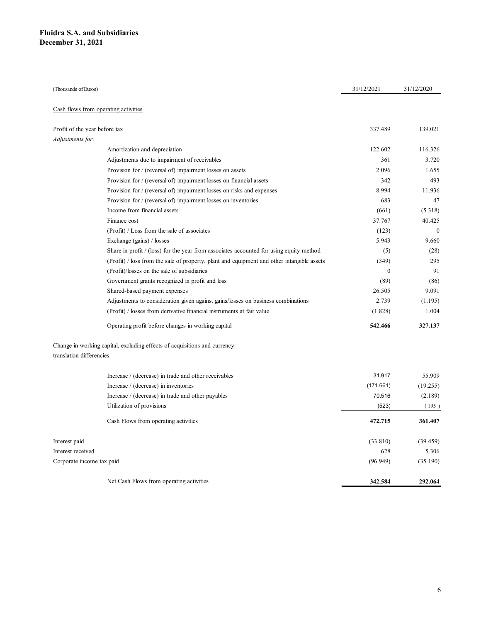| uidra S.A. and Subsidiaries          |                                                                                            |                  |              |
|--------------------------------------|--------------------------------------------------------------------------------------------|------------------|--------------|
| cember 31, 2021                      |                                                                                            |                  |              |
|                                      |                                                                                            |                  |              |
|                                      |                                                                                            |                  |              |
|                                      |                                                                                            |                  |              |
|                                      |                                                                                            |                  |              |
| (Thousands of Euros)                 |                                                                                            | 31/12/2021       | 31/12/2020   |
|                                      |                                                                                            |                  |              |
| Cash flows from operating activities |                                                                                            |                  |              |
| Profit of the year before tax        |                                                                                            | 337.489          | 139.021      |
| Adjustments for:                     |                                                                                            |                  |              |
|                                      | Amortization and depreciation                                                              | 122.602          | 116.326      |
|                                      | Adjustments due to impairment of receivables                                               | 361              | 3.720        |
|                                      | Provision for / (reversal of) impairment losses on assets                                  | 2.096            | 1.655        |
|                                      | Provision for / (reversal of) impairment losses on financial assets                        | 342              | 493          |
|                                      | Provision for / (reversal of) impairment losses on risks and expenses                      | 8.994            | 11.936       |
|                                      | Provision for / (reversal of) impairment losses on inventories                             | 683              | 47           |
|                                      | Income from financial assets                                                               | (661)            | (5.318)      |
|                                      | Finance cost                                                                               | 37.767           | 40.425       |
|                                      | (Profit) / Loss from the sale of associates                                                | (123)            | $\mathbf{0}$ |
|                                      | Exchange (gains) / losses                                                                  | 5.943            | 9.660        |
|                                      | Share in profit / (loss) for the year from associates accounted for using equity method    | (5)              | (28)         |
|                                      | (Profit) / loss from the sale of property, plant and equipment and other intangible assets | (349)            | 295          |
|                                      | (Profit)/losses on the sale of subsidiaries                                                | $\boldsymbol{0}$ | 91           |
|                                      | Government grants recognized in profit and loss                                            | (89)             | (86)         |
|                                      | Shared-based payment expenses                                                              | 26.505           | 9.091        |
|                                      | Adjustments to consideration given against gains/losses on business combinations           | 2.739            | (1.195)      |
|                                      | (Profit) $\frac{1}{1}$ losses from derivative financial instruments at fair value          | (1.828)          | 1.004        |
|                                      |                                                                                            |                  |              |
|                                      | Operating profit before changes in working capital                                         | 542.466          | 327.137      |
| translation differencies             | Change in working capital, excluding effects of acquisitions and currency                  |                  |              |
|                                      |                                                                                            |                  |              |
|                                      | Increase / (decrease) in trade and other receivables                                       | 31.917           | 55.909       |
|                                      | Increase / (decrease) in inventories                                                       | (171.661)        | (19.255)     |
|                                      | Increase / (decrease) in trade and other payables                                          | 70.516           | (2.189)      |
|                                      | Utilization of provisions                                                                  | (523)            | (195)        |
|                                      | Cash Flows from operating activities                                                       | 472.715          | 361.407      |
| Interest paid                        |                                                                                            | (33.810)         | (39.459)     |
| Interest received                    |                                                                                            | 628              | 5.306        |
|                                      |                                                                                            | (96.949)         | (35.190)     |
| Corporate income tax paid            |                                                                                            |                  |              |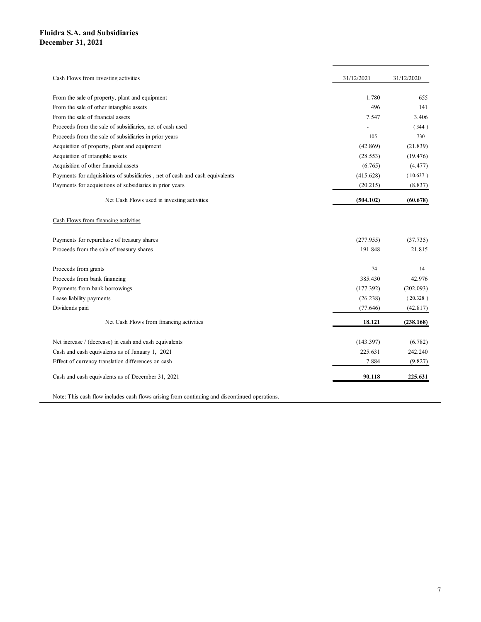| iidra S.A. and Subsidiaries<br>cember 31, 2021                               |            |            |
|------------------------------------------------------------------------------|------------|------------|
|                                                                              |            |            |
|                                                                              |            |            |
|                                                                              |            |            |
|                                                                              |            |            |
|                                                                              |            |            |
|                                                                              |            |            |
|                                                                              |            |            |
|                                                                              |            |            |
|                                                                              |            |            |
| Cash Flows from investing activities                                         | 31/12/2021 | 31/12/2020 |
| From the sale of property, plant and equipment                               | 1.780      | 655        |
| From the sale of other intangible assets                                     | 496        | 141        |
| From the sale of financial assets                                            | 7.547      | 3.406      |
| Proceeds from the sale of subsidiaries, net of cash used                     | $\sim$     | (344)      |
| Proceeds from the sale of subsidiaries in prior years                        | 105        | 730        |
| Acquisition of property, plant and equipment                                 | (42.869)   | (21.839)   |
| Acquisition of intangible assets                                             | (28.553)   | (19.476)   |
| Acquisition of other financial assets                                        | (6.765)    | (4.477)    |
| Payments for adquisitions of subsidiaries , net of cash and cash equivalents | (415.628)  | (10.637)   |
| Payments for acquisitions of subsidiaries in prior years                     | (20.215)   | (8.837)    |
| Net Cash Flows used in investing activities                                  | (504.102)  | (60.678)   |
| Cash Flows from financing activities                                         |            |            |
| Payments for repurchase of treasury shares                                   | (277.955)  | (37.735)   |
| Proceeds from the sale of treasury shares                                    | 191.848    | 21.815     |
|                                                                              |            |            |
| Proceeds from grants                                                         | 74         | 14         |
| Proceeds from bank financing                                                 | 385.430    | 42.976     |
| Payments from bank borrowings                                                | (177.392)  | (202.093)  |
| Lease liability payments                                                     | (26.238)   | (20.328)   |
| Dividends paid                                                               | (77.646)   | (42.817)   |
| Net Cash Flows from financing activities                                     | 18.121     | (238.168)  |
| Net increase / (decrease) in cash and cash equivalents                       | (143.397)  | (6.782)    |
| Cash and cash equivalents as of January 1, 2021                              | 225.631    | 242.240    |
| Effect of currency translation differences on cash                           | 7.884      | (9.827)    |
| Cash and cash equivalents as of December 31, 2021                            | 90.118     | 225.631    |
|                                                                              |            |            |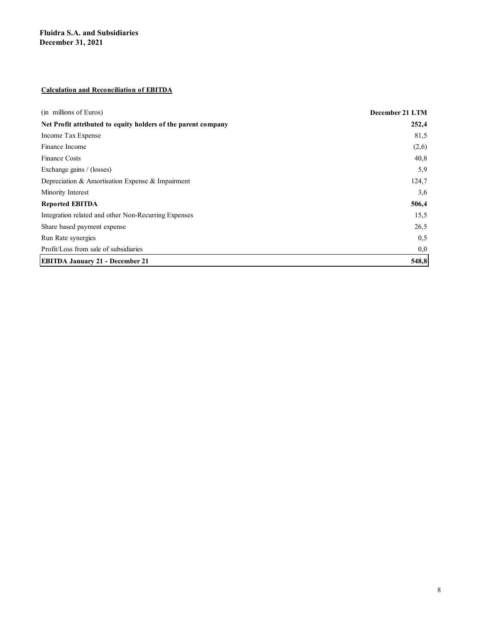### Calculation and Reconciliation of EBITDA

| <b>Fluidra S.A. and Subsidiaries</b>                          |                 |
|---------------------------------------------------------------|-----------------|
| December 31, 2021                                             |                 |
|                                                               |                 |
|                                                               |                 |
|                                                               |                 |
| <b>Calculation and Reconciliation of EBITDA</b>               |                 |
|                                                               |                 |
| (in millions of Euros)                                        | December 21 LTM |
| Net Profit attributed to equity holders of the parent company | 252,4           |
| Income Tax Expense                                            | 81,5            |
| Finance Income                                                | (2,6)           |
| Finance Costs                                                 | 40,8            |
| Exchange gains / (losses)                                     | 5,9             |
| Depreciation & Amortisation Expense & Impairment              | 124,7           |
| Minority Interest                                             | 3,6             |
| <b>Reported EBITDA</b>                                        | 506,4           |
| Integration related and other Non-Recurring Expenses          | 15,5            |
| Share based payment expense                                   | 26,5            |
| Run Rate synergies                                            | 0, 5            |
| Profit/Loss from sale of subsidiaries                         | 0,0             |
| <b>EBITDA January 21 - December 21</b>                        | 548,8           |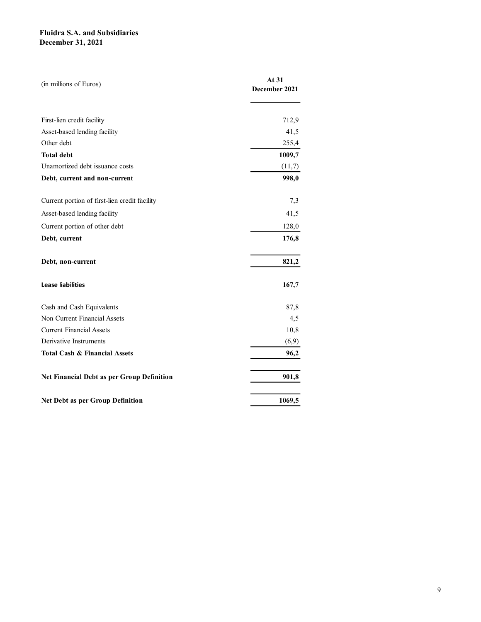| At 31         |  |
|---------------|--|
| December 2021 |  |
|               |  |
| 712,9         |  |
| 41,5          |  |
| 255,4         |  |
| 1009,7        |  |
| (11,7)        |  |
| 998,0         |  |
| 7,3           |  |
| 41,5          |  |
| 128,0         |  |
| 176,8         |  |
|               |  |
| 821,2         |  |
| 167,7         |  |
| 87,8          |  |
| 4,5           |  |
| 10,8          |  |
| (6,9)         |  |
| 96,2          |  |
| 901,8         |  |
|               |  |
|               |  |